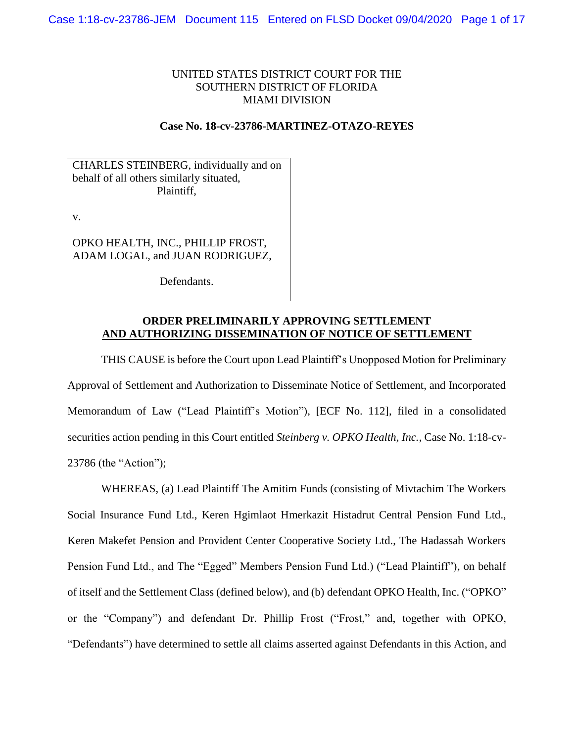# UNITED STATES DISTRICT COURT FOR THE SOUTHERN DISTRICT OF FLORIDA MIAMI DIVISION

## **Case No. 18-cv-23786-MARTINEZ-OTAZO-REYES**

CHARLES STEINBERG, individually and on behalf of all others similarly situated, Plaintiff,

v.

OPKO HEALTH, INC., PHILLIP FROST, ADAM LOGAL, and JUAN RODRIGUEZ,

Defendants.

## **ORDER PRELIMINARILY APPROVING SETTLEMENT AND AUTHORIZING DISSEMINATION OF NOTICE OF SETTLEMENT**

THIS CAUSE is before the Court upon Lead Plaintiff's Unopposed Motion for Preliminary Approval of Settlement and Authorization to Disseminate Notice of Settlement, and Incorporated Memorandum of Law ("Lead Plaintiff's Motion"), [ECF No. 112], filed in a consolidated securities action pending in this Court entitled *Steinberg v. OPKO Health, Inc.*, Case No. 1:18-cv-23786 (the "Action");

WHEREAS, (a) Lead Plaintiff The Amitim Funds (consisting of Mivtachim The Workers Social Insurance Fund Ltd., Keren Hgimlaot Hmerkazit Histadrut Central Pension Fund Ltd., Keren Makefet Pension and Provident Center Cooperative Society Ltd., The Hadassah Workers Pension Fund Ltd., and The "Egged" Members Pension Fund Ltd.) ("Lead Plaintiff"), on behalf of itself and the Settlement Class (defined below), and (b) defendant OPKO Health, Inc. ("OPKO" or the "Company") and defendant Dr. Phillip Frost ("Frost," and, together with OPKO, "Defendants") have determined to settle all claims asserted against Defendants in this Action, and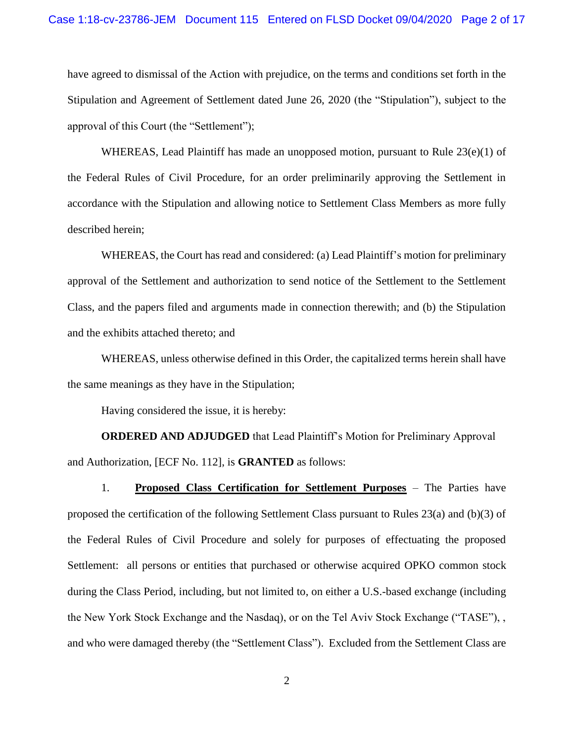have agreed to dismissal of the Action with prejudice, on the terms and conditions set forth in the Stipulation and Agreement of Settlement dated June 26, 2020 (the "Stipulation"), subject to the approval of this Court (the "Settlement");

WHEREAS, Lead Plaintiff has made an unopposed motion, pursuant to Rule  $23(e)(1)$  of the Federal Rules of Civil Procedure, for an order preliminarily approving the Settlement in accordance with the Stipulation and allowing notice to Settlement Class Members as more fully described herein;

WHEREAS, the Court has read and considered: (a) Lead Plaintiff's motion for preliminary approval of the Settlement and authorization to send notice of the Settlement to the Settlement Class, and the papers filed and arguments made in connection therewith; and (b) the Stipulation and the exhibits attached thereto; and

WHEREAS, unless otherwise defined in this Order, the capitalized terms herein shall have the same meanings as they have in the Stipulation;

Having considered the issue, it is hereby:

**ORDERED AND ADJUDGED** that Lead Plaintiff's Motion for Preliminary Approval and Authorization, [ECF No. 112], is **GRANTED** as follows:

1. **Proposed Class Certification for Settlement Purposes** – The Parties have proposed the certification of the following Settlement Class pursuant to Rules 23(a) and (b)(3) of the Federal Rules of Civil Procedure and solely for purposes of effectuating the proposed Settlement: all persons or entities that purchased or otherwise acquired OPKO common stock during the Class Period, including, but not limited to, on either a U.S.-based exchange (including the New York Stock Exchange and the Nasdaq), or on the Tel Aviv Stock Exchange ("TASE"), , and who were damaged thereby (the "Settlement Class"). Excluded from the Settlement Class are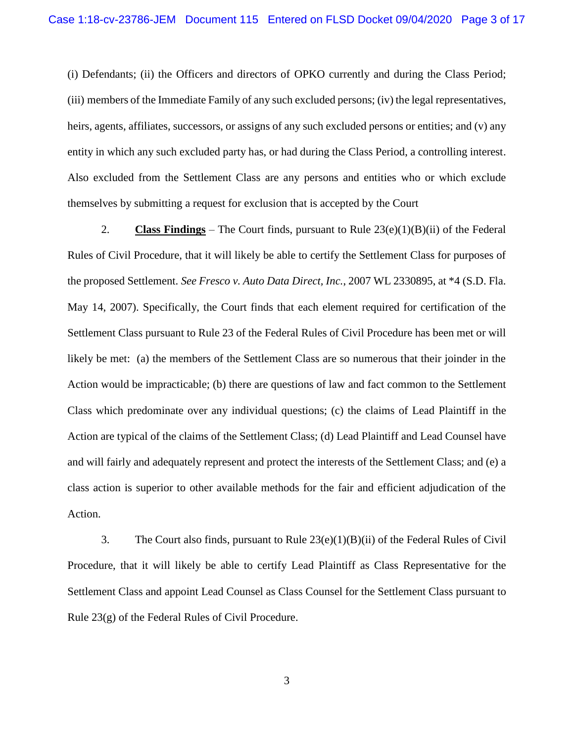(i) Defendants; (ii) the Officers and directors of OPKO currently and during the Class Period; (iii) members of the Immediate Family of any such excluded persons; (iv) the legal representatives, heirs, agents, affiliates, successors, or assigns of any such excluded persons or entities; and (v) any entity in which any such excluded party has, or had during the Class Period, a controlling interest. Also excluded from the Settlement Class are any persons and entities who or which exclude themselves by submitting a request for exclusion that is accepted by the Court

2. **Class Findings** – The Court finds, pursuant to Rule  $23(e)(1)(B)(ii)$  of the Federal Rules of Civil Procedure, that it will likely be able to certify the Settlement Class for purposes of the proposed Settlement. *See Fresco v. Auto Data Direct, Inc.*, 2007 WL 2330895, at \*4 (S.D. Fla. May 14, 2007). Specifically, the Court finds that each element required for certification of the Settlement Class pursuant to Rule 23 of the Federal Rules of Civil Procedure has been met or will likely be met: (a) the members of the Settlement Class are so numerous that their joinder in the Action would be impracticable; (b) there are questions of law and fact common to the Settlement Class which predominate over any individual questions; (c) the claims of Lead Plaintiff in the Action are typical of the claims of the Settlement Class; (d) Lead Plaintiff and Lead Counsel have and will fairly and adequately represent and protect the interests of the Settlement Class; and (e) a class action is superior to other available methods for the fair and efficient adjudication of the Action.

3. The Court also finds, pursuant to Rule 23(e)(1)(B)(ii) of the Federal Rules of Civil Procedure, that it will likely be able to certify Lead Plaintiff as Class Representative for the Settlement Class and appoint Lead Counsel as Class Counsel for the Settlement Class pursuant to Rule 23(g) of the Federal Rules of Civil Procedure.

3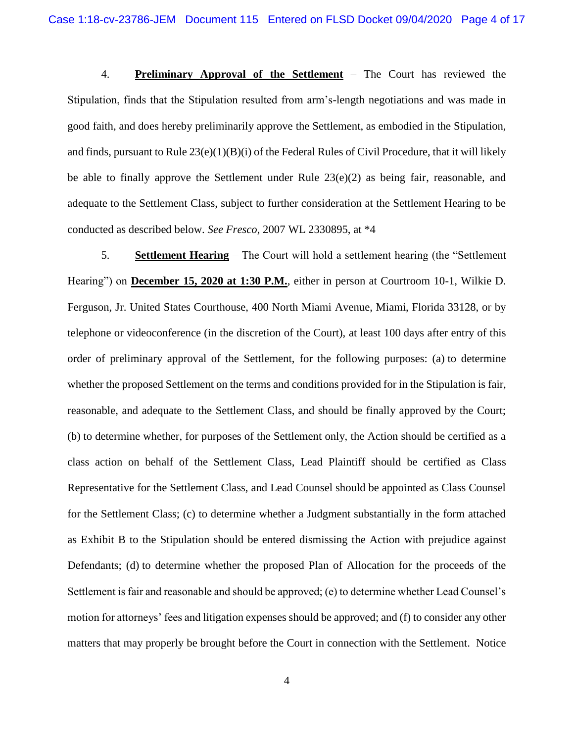4. **Preliminary Approval of the Settlement** – The Court has reviewed the Stipulation, finds that the Stipulation resulted from arm's-length negotiations and was made in good faith, and does hereby preliminarily approve the Settlement, as embodied in the Stipulation, and finds, pursuant to Rule 23(e)(1)(B)(i) of the Federal Rules of Civil Procedure, that it will likely be able to finally approve the Settlement under Rule  $23(e)(2)$  as being fair, reasonable, and adequate to the Settlement Class, subject to further consideration at the Settlement Hearing to be conducted as described below. *See Fresco*, 2007 WL 2330895, at \*4

5. **Settlement Hearing** – The Court will hold a settlement hearing (the "Settlement Hearing") on **December 15, 2020 at 1:30 P.M.**, either in person at Courtroom 10-1, Wilkie D. Ferguson, Jr. United States Courthouse, 400 North Miami Avenue, Miami, Florida 33128, or by telephone or videoconference (in the discretion of the Court), at least 100 days after entry of this order of preliminary approval of the Settlement, for the following purposes: (a) to determine whether the proposed Settlement on the terms and conditions provided for in the Stipulation is fair, reasonable, and adequate to the Settlement Class, and should be finally approved by the Court; (b) to determine whether, for purposes of the Settlement only, the Action should be certified as a class action on behalf of the Settlement Class, Lead Plaintiff should be certified as Class Representative for the Settlement Class, and Lead Counsel should be appointed as Class Counsel for the Settlement Class; (c) to determine whether a Judgment substantially in the form attached as Exhibit B to the Stipulation should be entered dismissing the Action with prejudice against Defendants; (d) to determine whether the proposed Plan of Allocation for the proceeds of the Settlement is fair and reasonable and should be approved; (e) to determine whether Lead Counsel's motion for attorneys' fees and litigation expenses should be approved; and (f) to consider any other matters that may properly be brought before the Court in connection with the Settlement. Notice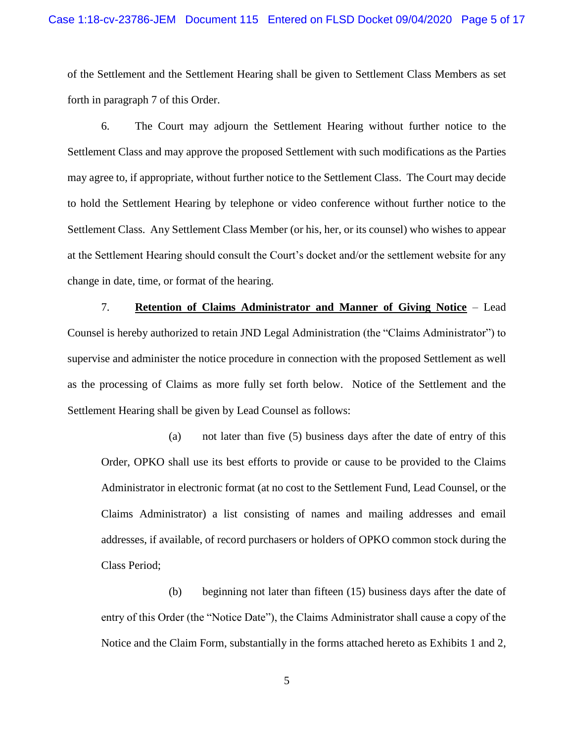of the Settlement and the Settlement Hearing shall be given to Settlement Class Members as set forth in paragraph 7 of this Order.

6. The Court may adjourn the Settlement Hearing without further notice to the Settlement Class and may approve the proposed Settlement with such modifications as the Parties may agree to, if appropriate, without further notice to the Settlement Class. The Court may decide to hold the Settlement Hearing by telephone or video conference without further notice to the Settlement Class. Any Settlement Class Member (or his, her, or its counsel) who wishes to appear at the Settlement Hearing should consult the Court's docket and/or the settlement website for any change in date, time, or format of the hearing.

7. **Retention of Claims Administrator and Manner of Giving Notice** – Lead Counsel is hereby authorized to retain JND Legal Administration (the "Claims Administrator") to supervise and administer the notice procedure in connection with the proposed Settlement as well as the processing of Claims as more fully set forth below. Notice of the Settlement and the Settlement Hearing shall be given by Lead Counsel as follows:

(a) not later than five (5) business days after the date of entry of this Order, OPKO shall use its best efforts to provide or cause to be provided to the Claims Administrator in electronic format (at no cost to the Settlement Fund, Lead Counsel, or the Claims Administrator) a list consisting of names and mailing addresses and email addresses, if available, of record purchasers or holders of OPKO common stock during the Class Period;

(b) beginning not later than fifteen (15) business days after the date of entry of this Order (the "Notice Date"), the Claims Administrator shall cause a copy of the Notice and the Claim Form, substantially in the forms attached hereto as Exhibits 1 and 2,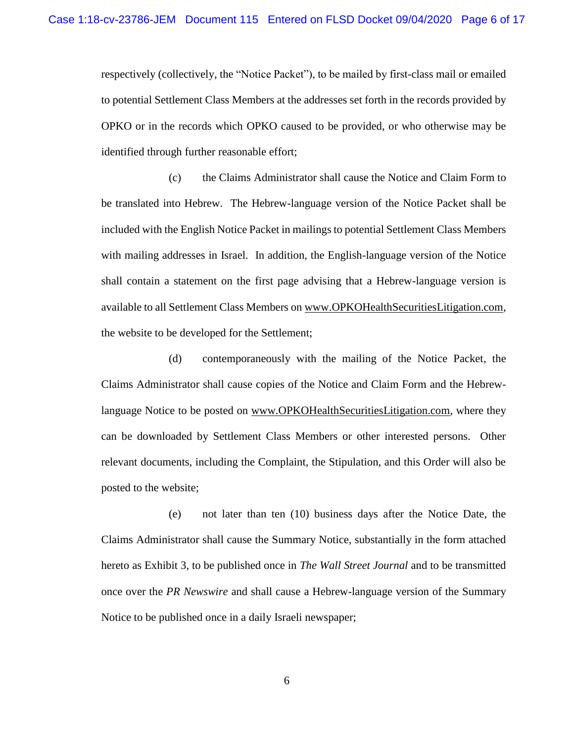respectively (collectively, the "Notice Packet"), to be mailed by first-class mail or emailed to potential Settlement Class Members at the addresses set forth in the records provided by OPKO or in the records which OPKO caused to be provided, or who otherwise may be identified through further reasonable effort;

(c) the Claims Administrator shall cause the Notice and Claim Form to be translated into Hebrew. The Hebrew-language version of the Notice Packet shall be included with the English Notice Packet in mailings to potential Settlement Class Members with mailing addresses in Israel. In addition, the English-language version of the Notice shall contain a statement on the first page advising that a Hebrew-language version is available to all Settlement Class Members on www.OPKOHealthSecuritiesLitigation.com, the website to be developed for the Settlement;

(d) contemporaneously with the mailing of the Notice Packet, the Claims Administrator shall cause copies of the Notice and Claim Form and the Hebrewlanguage Notice to be posted on www.OPKOHealthSecuritiesLitigation.com, where they can be downloaded by Settlement Class Members or other interested persons. Other relevant documents, including the Complaint, the Stipulation, and this Order will also be posted to the website;

(e) not later than ten (10) business days after the Notice Date, the Claims Administrator shall cause the Summary Notice, substantially in the form attached hereto as Exhibit 3, to be published once in *The Wall Street Journal* and to be transmitted once over the *PR Newswire* and shall cause a Hebrew-language version of the Summary Notice to be published once in a daily Israeli newspaper;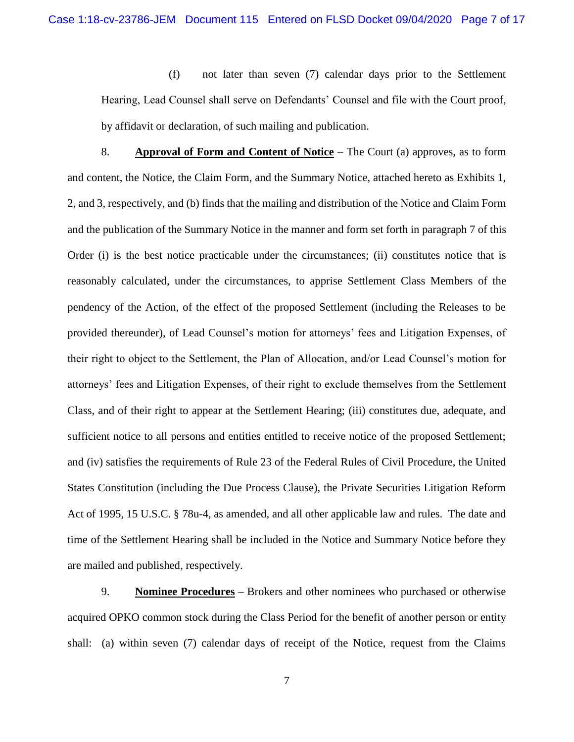(f) not later than seven (7) calendar days prior to the Settlement Hearing, Lead Counsel shall serve on Defendants' Counsel and file with the Court proof, by affidavit or declaration, of such mailing and publication.

8. **Approval of Form and Content of Notice** – The Court (a) approves, as to form and content, the Notice, the Claim Form, and the Summary Notice, attached hereto as Exhibits 1, 2, and 3, respectively, and (b) finds that the mailing and distribution of the Notice and Claim Form and the publication of the Summary Notice in the manner and form set forth in paragraph 7 of this Order (i) is the best notice practicable under the circumstances; (ii) constitutes notice that is reasonably calculated, under the circumstances, to apprise Settlement Class Members of the pendency of the Action, of the effect of the proposed Settlement (including the Releases to be provided thereunder), of Lead Counsel's motion for attorneys' fees and Litigation Expenses, of their right to object to the Settlement, the Plan of Allocation, and/or Lead Counsel's motion for attorneys' fees and Litigation Expenses, of their right to exclude themselves from the Settlement Class, and of their right to appear at the Settlement Hearing; (iii) constitutes due, adequate, and sufficient notice to all persons and entities entitled to receive notice of the proposed Settlement; and (iv) satisfies the requirements of Rule 23 of the Federal Rules of Civil Procedure, the United States Constitution (including the Due Process Clause), the Private Securities Litigation Reform Act of 1995, 15 U.S.C. § 78u-4, as amended, and all other applicable law and rules. The date and time of the Settlement Hearing shall be included in the Notice and Summary Notice before they are mailed and published, respectively.

9. **Nominee Procedures** – Brokers and other nominees who purchased or otherwise acquired OPKO common stock during the Class Period for the benefit of another person or entity shall: (a) within seven (7) calendar days of receipt of the Notice, request from the Claims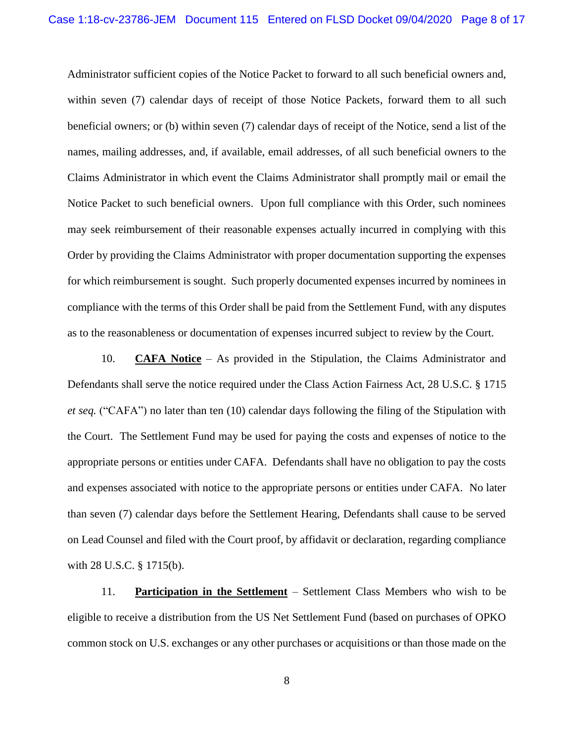Administrator sufficient copies of the Notice Packet to forward to all such beneficial owners and, within seven (7) calendar days of receipt of those Notice Packets, forward them to all such beneficial owners; or (b) within seven (7) calendar days of receipt of the Notice, send a list of the names, mailing addresses, and, if available, email addresses, of all such beneficial owners to the Claims Administrator in which event the Claims Administrator shall promptly mail or email the Notice Packet to such beneficial owners. Upon full compliance with this Order, such nominees may seek reimbursement of their reasonable expenses actually incurred in complying with this Order by providing the Claims Administrator with proper documentation supporting the expenses for which reimbursement is sought. Such properly documented expenses incurred by nominees in compliance with the terms of this Order shall be paid from the Settlement Fund, with any disputes as to the reasonableness or documentation of expenses incurred subject to review by the Court.

10. **CAFA Notice** – As provided in the Stipulation, the Claims Administrator and Defendants shall serve the notice required under the Class Action Fairness Act, 28 U.S.C. § 1715 *et seq.* ("CAFA") no later than ten (10) calendar days following the filing of the Stipulation with the Court. The Settlement Fund may be used for paying the costs and expenses of notice to the appropriate persons or entities under CAFA. Defendants shall have no obligation to pay the costs and expenses associated with notice to the appropriate persons or entities under CAFA. No later than seven (7) calendar days before the Settlement Hearing, Defendants shall cause to be served on Lead Counsel and filed with the Court proof, by affidavit or declaration, regarding compliance with 28 U.S.C. § 1715(b).

11. **Participation in the Settlement** – Settlement Class Members who wish to be eligible to receive a distribution from the US Net Settlement Fund (based on purchases of OPKO common stock on U.S. exchanges or any other purchases or acquisitions or than those made on the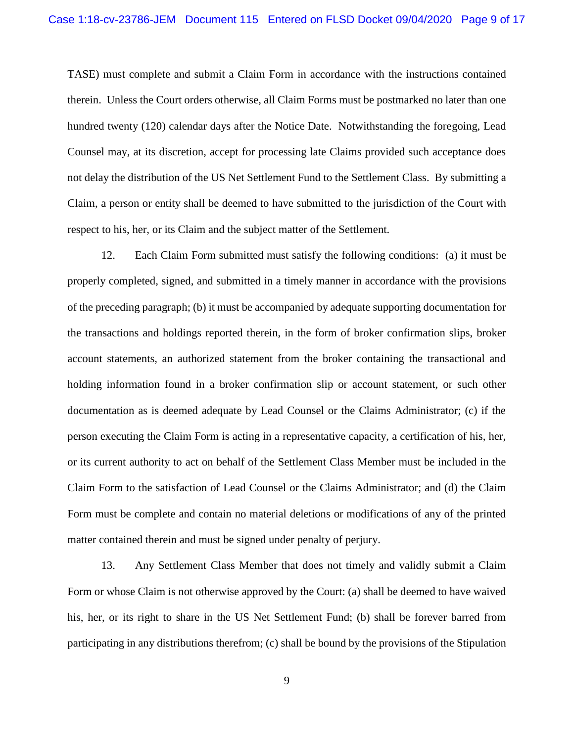TASE) must complete and submit a Claim Form in accordance with the instructions contained therein. Unless the Court orders otherwise, all Claim Forms must be postmarked no later than one hundred twenty (120) calendar days after the Notice Date. Notwithstanding the foregoing, Lead Counsel may, at its discretion, accept for processing late Claims provided such acceptance does not delay the distribution of the US Net Settlement Fund to the Settlement Class. By submitting a Claim, a person or entity shall be deemed to have submitted to the jurisdiction of the Court with respect to his, her, or its Claim and the subject matter of the Settlement.

12. Each Claim Form submitted must satisfy the following conditions: (a) it must be properly completed, signed, and submitted in a timely manner in accordance with the provisions of the preceding paragraph; (b) it must be accompanied by adequate supporting documentation for the transactions and holdings reported therein, in the form of broker confirmation slips, broker account statements, an authorized statement from the broker containing the transactional and holding information found in a broker confirmation slip or account statement, or such other documentation as is deemed adequate by Lead Counsel or the Claims Administrator; (c) if the person executing the Claim Form is acting in a representative capacity, a certification of his, her, or its current authority to act on behalf of the Settlement Class Member must be included in the Claim Form to the satisfaction of Lead Counsel or the Claims Administrator; and (d) the Claim Form must be complete and contain no material deletions or modifications of any of the printed matter contained therein and must be signed under penalty of perjury.

13. Any Settlement Class Member that does not timely and validly submit a Claim Form or whose Claim is not otherwise approved by the Court: (a) shall be deemed to have waived his, her, or its right to share in the US Net Settlement Fund; (b) shall be forever barred from participating in any distributions therefrom; (c) shall be bound by the provisions of the Stipulation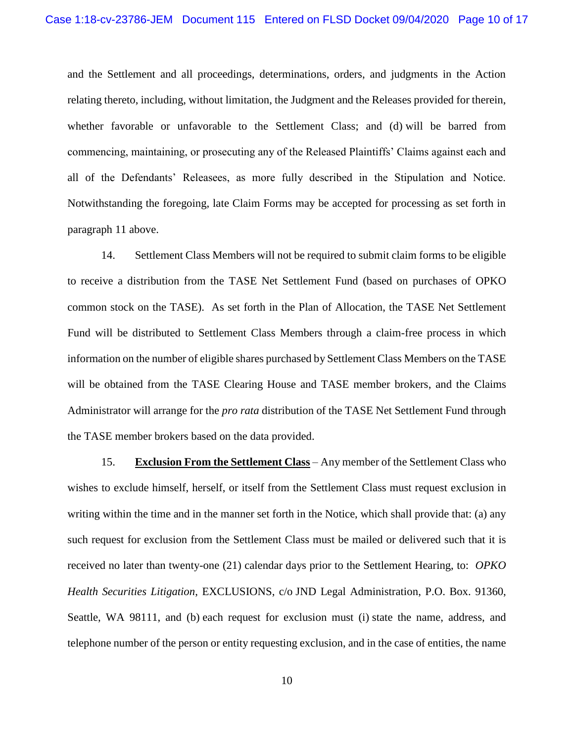and the Settlement and all proceedings, determinations, orders, and judgments in the Action relating thereto, including, without limitation, the Judgment and the Releases provided for therein, whether favorable or unfavorable to the Settlement Class; and (d) will be barred from commencing, maintaining, or prosecuting any of the Released Plaintiffs' Claims against each and all of the Defendants' Releasees, as more fully described in the Stipulation and Notice. Notwithstanding the foregoing, late Claim Forms may be accepted for processing as set forth in paragraph 11 above.

14. Settlement Class Members will not be required to submit claim forms to be eligible to receive a distribution from the TASE Net Settlement Fund (based on purchases of OPKO common stock on the TASE). As set forth in the Plan of Allocation, the TASE Net Settlement Fund will be distributed to Settlement Class Members through a claim-free process in which information on the number of eligible shares purchased by Settlement Class Members on the TASE will be obtained from the TASE Clearing House and TASE member brokers, and the Claims Administrator will arrange for the *pro rata* distribution of the TASE Net Settlement Fund through the TASE member brokers based on the data provided.

15. **Exclusion From the Settlement Class** – Any member of the Settlement Class who wishes to exclude himself, herself, or itself from the Settlement Class must request exclusion in writing within the time and in the manner set forth in the Notice, which shall provide that: (a) any such request for exclusion from the Settlement Class must be mailed or delivered such that it is received no later than twenty-one (21) calendar days prior to the Settlement Hearing, to: *OPKO Health Securities Litigation*, EXCLUSIONS, c/o JND Legal Administration, P.O. Box. 91360, Seattle, WA 98111, and (b) each request for exclusion must (i) state the name, address, and telephone number of the person or entity requesting exclusion, and in the case of entities, the name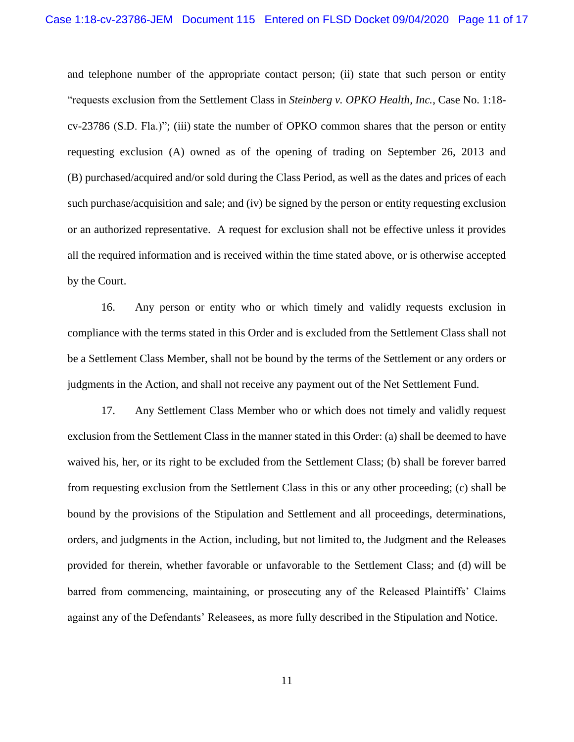and telephone number of the appropriate contact person; (ii) state that such person or entity "requests exclusion from the Settlement Class in *Steinberg v. OPKO Health, Inc.*, Case No. 1:18 cv-23786 (S.D. Fla.)"; (iii) state the number of OPKO common shares that the person or entity requesting exclusion (A) owned as of the opening of trading on September 26, 2013 and (B) purchased/acquired and/or sold during the Class Period, as well as the dates and prices of each such purchase/acquisition and sale; and (iv) be signed by the person or entity requesting exclusion or an authorized representative. A request for exclusion shall not be effective unless it provides all the required information and is received within the time stated above, or is otherwise accepted by the Court.

16. Any person or entity who or which timely and validly requests exclusion in compliance with the terms stated in this Order and is excluded from the Settlement Class shall not be a Settlement Class Member, shall not be bound by the terms of the Settlement or any orders or judgments in the Action, and shall not receive any payment out of the Net Settlement Fund.

17. Any Settlement Class Member who or which does not timely and validly request exclusion from the Settlement Class in the manner stated in this Order: (a) shall be deemed to have waived his, her, or its right to be excluded from the Settlement Class; (b) shall be forever barred from requesting exclusion from the Settlement Class in this or any other proceeding; (c) shall be bound by the provisions of the Stipulation and Settlement and all proceedings, determinations, orders, and judgments in the Action, including, but not limited to, the Judgment and the Releases provided for therein, whether favorable or unfavorable to the Settlement Class; and (d) will be barred from commencing, maintaining, or prosecuting any of the Released Plaintiffs' Claims against any of the Defendants' Releasees, as more fully described in the Stipulation and Notice.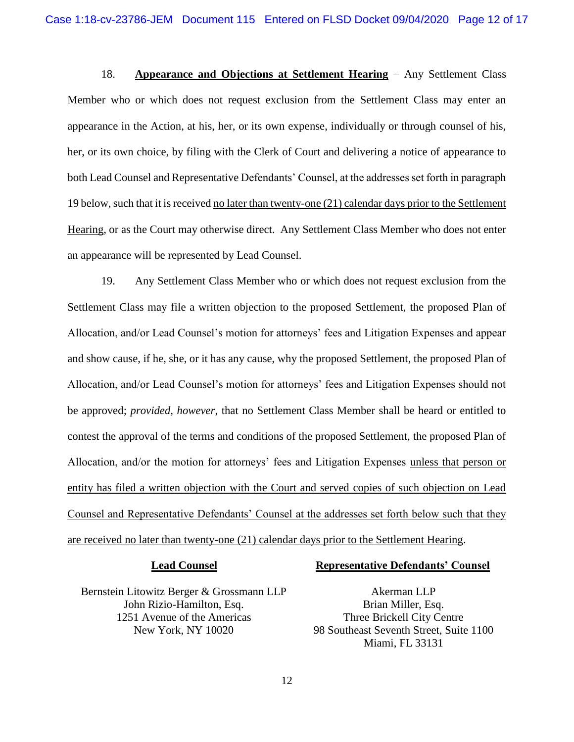18. **Appearance and Objections at Settlement Hearing** – Any Settlement Class Member who or which does not request exclusion from the Settlement Class may enter an appearance in the Action, at his, her, or its own expense, individually or through counsel of his, her, or its own choice, by filing with the Clerk of Court and delivering a notice of appearance to both Lead Counsel and Representative Defendants' Counsel, at the addresses set forth in paragraph 19 below, such that it is received no later than twenty-one (21) calendar days prior to the Settlement Hearing, or as the Court may otherwise direct. Any Settlement Class Member who does not enter an appearance will be represented by Lead Counsel.

19. Any Settlement Class Member who or which does not request exclusion from the Settlement Class may file a written objection to the proposed Settlement, the proposed Plan of Allocation, and/or Lead Counsel's motion for attorneys' fees and Litigation Expenses and appear and show cause, if he, she, or it has any cause, why the proposed Settlement, the proposed Plan of Allocation, and/or Lead Counsel's motion for attorneys' fees and Litigation Expenses should not be approved; *provided, however*, that no Settlement Class Member shall be heard or entitled to contest the approval of the terms and conditions of the proposed Settlement, the proposed Plan of Allocation, and/or the motion for attorneys' fees and Litigation Expenses unless that person or entity has filed a written objection with the Court and served copies of such objection on Lead Counsel and Representative Defendants' Counsel at the addresses set forth below such that they are received no later than twenty-one (21) calendar days prior to the Settlement Hearing.

### **Lead Counsel**

# Bernstein Litowitz Berger & Grossmann LLP John Rizio-Hamilton, Esq. 1251 Avenue of the Americas New York, NY 10020

### **Representative Defendants' Counsel**

Akerman LLP Brian Miller, Esq. Three Brickell City Centre 98 Southeast Seventh Street, Suite 1100 Miami, FL 33131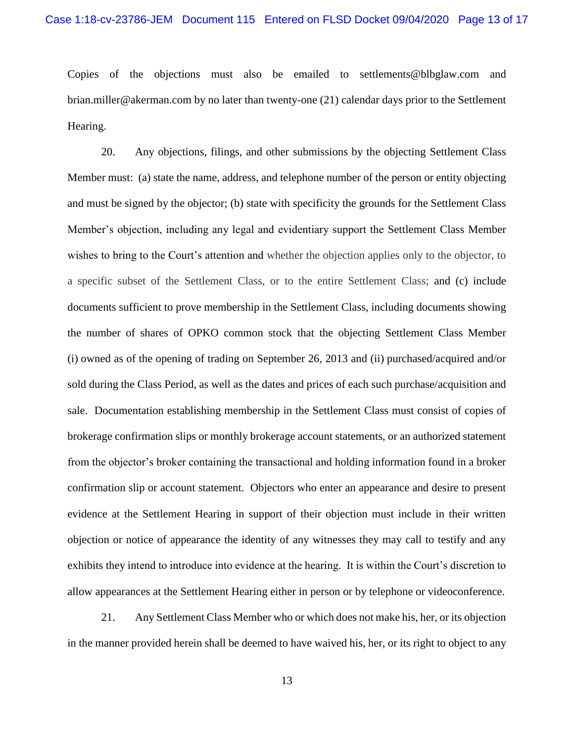Copies of the objections must also be emailed to settlements@blbglaw.com and brian.miller@akerman.com by no later than twenty-one (21) calendar days prior to the Settlement Hearing.

20. Any objections, filings, and other submissions by the objecting Settlement Class Member must: (a) state the name, address, and telephone number of the person or entity objecting and must be signed by the objector; (b) state with specificity the grounds for the Settlement Class Member's objection, including any legal and evidentiary support the Settlement Class Member wishes to bring to the Court's attention and whether the objection applies only to the objector, to a specific subset of the Settlement Class, or to the entire Settlement Class; and (c) include documents sufficient to prove membership in the Settlement Class, including documents showing the number of shares of OPKO common stock that the objecting Settlement Class Member (i) owned as of the opening of trading on September 26, 2013 and (ii) purchased/acquired and/or sold during the Class Period, as well as the dates and prices of each such purchase/acquisition and sale. Documentation establishing membership in the Settlement Class must consist of copies of brokerage confirmation slips or monthly brokerage account statements, or an authorized statement from the objector's broker containing the transactional and holding information found in a broker confirmation slip or account statement. Objectors who enter an appearance and desire to present evidence at the Settlement Hearing in support of their objection must include in their written objection or notice of appearance the identity of any witnesses they may call to testify and any exhibits they intend to introduce into evidence at the hearing. It is within the Court's discretion to allow appearances at the Settlement Hearing either in person or by telephone or videoconference.

21. Any Settlement Class Member who or which does not make his, her, or its objection in the manner provided herein shall be deemed to have waived his, her, or its right to object to any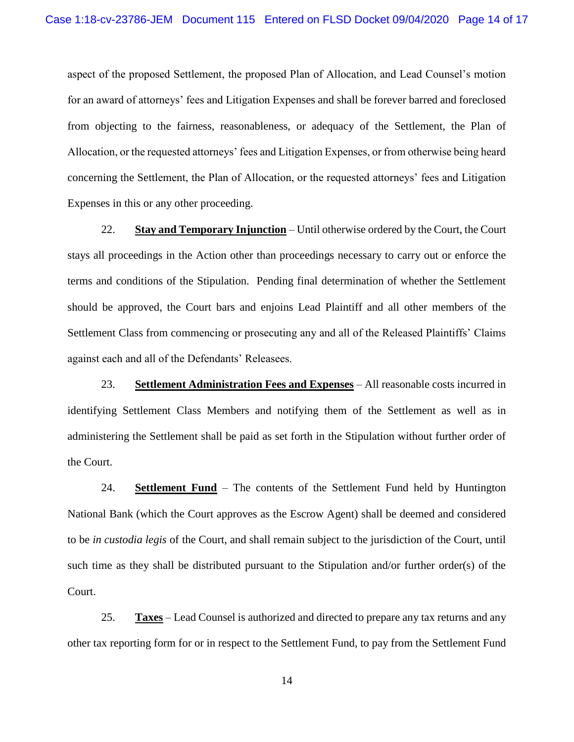aspect of the proposed Settlement, the proposed Plan of Allocation, and Lead Counsel's motion for an award of attorneys' fees and Litigation Expenses and shall be forever barred and foreclosed from objecting to the fairness, reasonableness, or adequacy of the Settlement, the Plan of Allocation, or the requested attorneys' fees and Litigation Expenses, or from otherwise being heard concerning the Settlement, the Plan of Allocation, or the requested attorneys' fees and Litigation Expenses in this or any other proceeding.

22. **Stay and Temporary Injunction** – Until otherwise ordered by the Court, the Court stays all proceedings in the Action other than proceedings necessary to carry out or enforce the terms and conditions of the Stipulation. Pending final determination of whether the Settlement should be approved, the Court bars and enjoins Lead Plaintiff and all other members of the Settlement Class from commencing or prosecuting any and all of the Released Plaintiffs' Claims against each and all of the Defendants' Releasees.

23. **Settlement Administration Fees and Expenses** – All reasonable costs incurred in identifying Settlement Class Members and notifying them of the Settlement as well as in administering the Settlement shall be paid as set forth in the Stipulation without further order of the Court.

24. **Settlement Fund** – The contents of the Settlement Fund held by Huntington National Bank (which the Court approves as the Escrow Agent) shall be deemed and considered to be *in custodia legis* of the Court, and shall remain subject to the jurisdiction of the Court, until such time as they shall be distributed pursuant to the Stipulation and/or further order(s) of the Court.

25. **Taxes** – Lead Counsel is authorized and directed to prepare any tax returns and any other tax reporting form for or in respect to the Settlement Fund, to pay from the Settlement Fund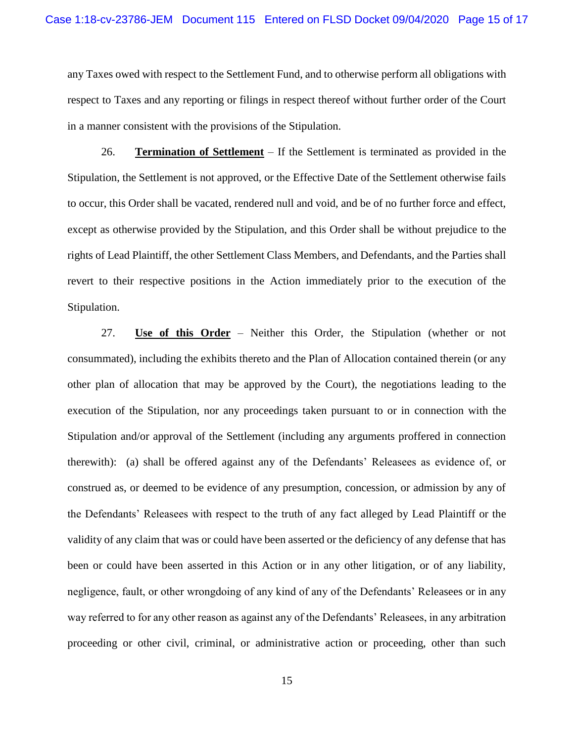any Taxes owed with respect to the Settlement Fund, and to otherwise perform all obligations with respect to Taxes and any reporting or filings in respect thereof without further order of the Court in a manner consistent with the provisions of the Stipulation.

26. **Termination of Settlement** – If the Settlement is terminated as provided in the Stipulation, the Settlement is not approved, or the Effective Date of the Settlement otherwise fails to occur, this Order shall be vacated, rendered null and void, and be of no further force and effect, except as otherwise provided by the Stipulation, and this Order shall be without prejudice to the rights of Lead Plaintiff, the other Settlement Class Members, and Defendants, and the Parties shall revert to their respective positions in the Action immediately prior to the execution of the Stipulation.

27. **Use of this Order** – Neither this Order, the Stipulation (whether or not consummated), including the exhibits thereto and the Plan of Allocation contained therein (or any other plan of allocation that may be approved by the Court), the negotiations leading to the execution of the Stipulation, nor any proceedings taken pursuant to or in connection with the Stipulation and/or approval of the Settlement (including any arguments proffered in connection therewith): (a) shall be offered against any of the Defendants' Releasees as evidence of, or construed as, or deemed to be evidence of any presumption, concession, or admission by any of the Defendants' Releasees with respect to the truth of any fact alleged by Lead Plaintiff or the validity of any claim that was or could have been asserted or the deficiency of any defense that has been or could have been asserted in this Action or in any other litigation, or of any liability, negligence, fault, or other wrongdoing of any kind of any of the Defendants' Releasees or in any way referred to for any other reason as against any of the Defendants' Releasees, in any arbitration proceeding or other civil, criminal, or administrative action or proceeding, other than such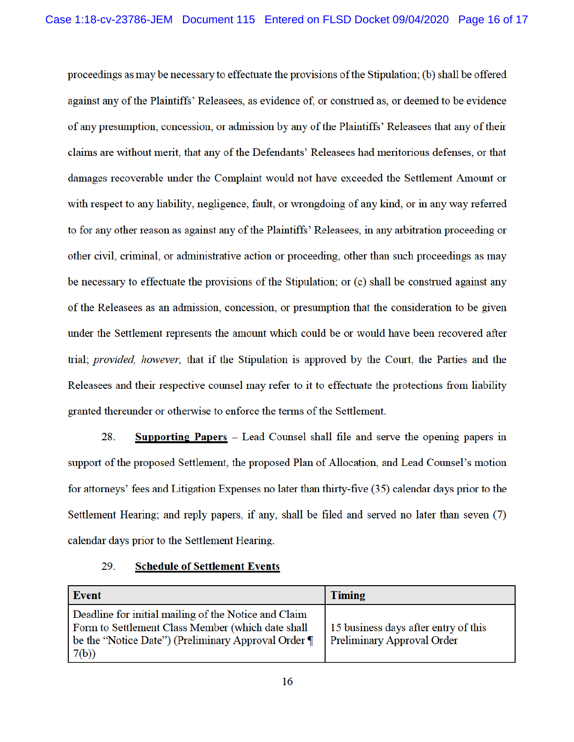proceedings as may be necessary to effectuate the provisions of the Stipulation; (b) shall be offered against any of the Plaintiffs' Releasees, as evidence of, or construed as, or deemed to be evidence of any presumption, concession, or admission by any of the Plaintiffs' Releasees that any of their claims are without merit, that any of the Defendants' Releasees had meritorious defenses, or that damages recoverable under the Complaint would not have exceeded the Settlement Amount or with respect to any liability, negligence, fault, or wrongdoing of any kind, or in any way referred to for any other reason as against any of the Plaintiffs' Releasees, in any arbitration proceeding or other civil, criminal, or administrative action or proceeding, other than such proceedings as may be necessary to effectuate the provisions of the Stipulation; or (c) shall be construed against any of the Releasees as an admission, concession, or presumption that the consideration to be given under the Settlement represents the amount which could be or would have been recovered after trial; *provided, however*, that if the Stipulation is approved by the Court, the Parties and the Releasees and their respective counsel may refer to it to effectuate the protections from liability granted thereunder or otherwise to enforce the terms of the Settlement.

28. **Supporting Papers**  $-$  Lead Counsel shall file and serve the opening papers in support of the proposed Settlement, the proposed Plan of Allocation, and Lead Counsel's motion for attorneys' fees and Litigation Expenses no later than thirty-five (35) calendar days prior to the Settlement Hearing; and reply papers, if any, shall be filed and served no later than seven (7) calendar days prior to the Settlement Hearing.

**Event Timing** Deadline for initial mailing of the Notice and Claim Form to Settlement Class Member (which date shall 15 business days after entry of this be the "Notice Date") (Preliminary Approval Order ¶ Preliminary Approval Order 7(b))

#### 29. **Schedule of Settlement Events**